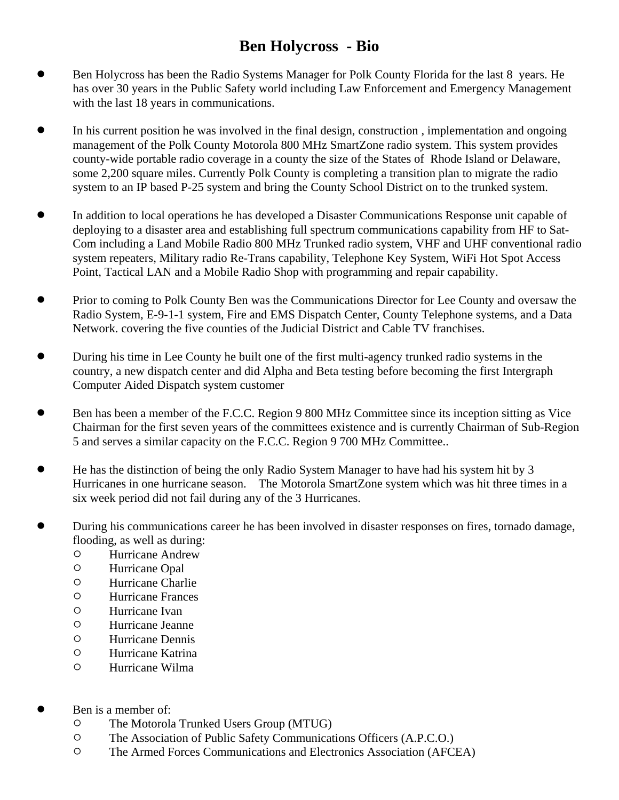## **Ben Holycross - Bio**

- ! Ben Holycross has been the Radio Systems Manager for Polk County Florida for the last 8 years. He has over 30 years in the Public Safety world including Law Enforcement and Emergency Management with the last 18 years in communications.
- In his current position he was involved in the final design, construction, implementation and ongoing management of the Polk County Motorola 800 MHz SmartZone radio system. This system provides county-wide portable radio coverage in a county the size of the States of Rhode Island or Delaware, some 2,200 square miles. Currently Polk County is completing a transition plan to migrate the radio system to an IP based P-25 system and bring the County School District on to the trunked system.
- In addition to local operations he has developed a Disaster Communications Response unit capable of deploying to a disaster area and establishing full spectrum communications capability from HF to Sat-Com including a Land Mobile Radio 800 MHz Trunked radio system, VHF and UHF conventional radio system repeaters, Military radio Re-Trans capability, Telephone Key System, WiFi Hot Spot Access Point, Tactical LAN and a Mobile Radio Shop with programming and repair capability.
- ! Prior to coming to Polk County Ben was the Communications Director for Lee County and oversaw the Radio System, E-9-1-1 system, Fire and EMS Dispatch Center, County Telephone systems, and a Data Network. covering the five counties of the Judicial District and Cable TV franchises.
- During his time in Lee County he built one of the first multi-agency trunked radio systems in the country, a new dispatch center and did Alpha and Beta testing before becoming the first Intergraph Computer Aided Dispatch system customer
- ! Ben has been a member of the F.C.C. Region 9 800 MHz Committee since its inception sitting as Vice Chairman for the first seven years of the committees existence and is currently Chairman of Sub-Region 5 and serves a similar capacity on the F.C.C. Region 9 700 MHz Committee..
- ! He has the distinction of being the only Radio System Manager to have had his system hit by 3 Hurricanes in one hurricane season. The Motorola SmartZone system which was hit three times in a six week period did not fail during any of the 3 Hurricanes.
- ! During his communications career he has been involved in disaster responses on fires, tornado damage, flooding, as well as during:
	- $\circ$  Hurricane Andrew
	- $\circ$  Hurricane Opal
	- $\circ$  Hurricane Charlie
	- $\circ$  Hurricane Frances
	- $\circ$  Hurricane Ivan
	- $\circ$  Hurricane Jeanne
	- $\circ$  Hurricane Dennis
	- O Hurricane Katrina
	- $\circ$  Hurricane Wilma
- Ben is a member of:
	- $\circ$  The Motorola Trunked Users Group (MTUG)
	- <sup>O</sup> The Association of Public Safety Communications Officers (A.P.C.O.)
	- <sup>O</sup> The Armed Forces Communications and Electronics Association (AFCEA)